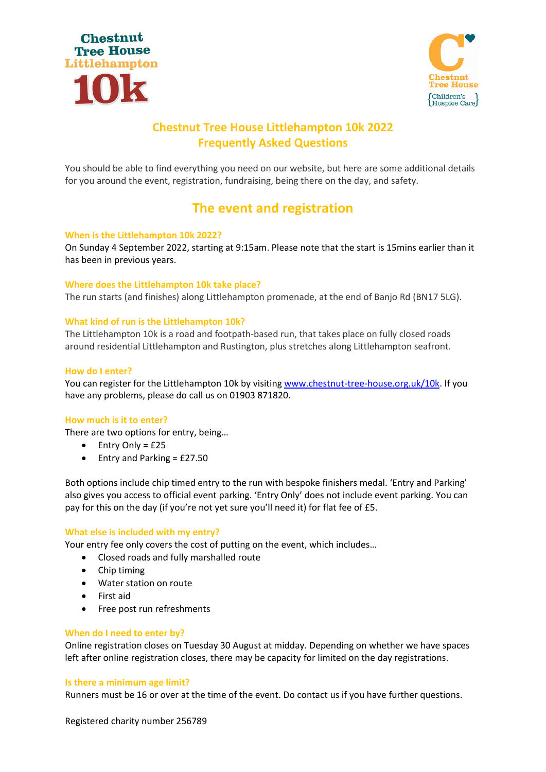



# **Chestnut Tree House Littlehampton 10k 2022 Frequently Asked Questions**

You should be able to find everything you need on our website, but here are some additional details for you around the event, registration, fundraising, being there on the day, and safety.

# **The event and registration**

# **When is the Littlehampton 10k 2022?**

On Sunday 4 September 2022, starting at 9:15am. Please note that the start is 15mins earlier than it has been in previous years.

# **Where does the Littlehampton 10k take place?**

The run starts (and finishes) along Littlehampton promenade, at the end of Banjo Rd (BN17 5LG).

# **What kind of run is the Littlehampton 10k?**

The Littlehampton 10k is a road and footpath-based run, that takes place on fully closed roads around residential Littlehampton and Rustington, plus stretches along Littlehampton seafront.

# **How do I enter?**

You can register for the Littlehampton 10k by visiting [www.chestnut-tree-house.org.uk/10k.](http://www.chestnut-tree-house.org.uk/10k) If you have any problems, please do call us on 01903 871820.

# **How much is it to enter?**

There are two options for entry, being…

- Entry Only = £25
- Entry and Parking = £27.50

Both options include chip timed entry to the run with bespoke finishers medal. 'Entry and Parking' also gives you access to official event parking. 'Entry Only' does not include event parking. You can pay for this on the day (if you're not yet sure you'll need it) for flat fee of £5.

# **What else is included with my entry?**

Your entry fee only covers the cost of putting on the event, which includes…

- Closed roads and fully marshalled route
- Chip timing
- Water station on route
- First aid
- Free post run refreshments

# **When do I need to enter by?**

Online registration closes on Tuesday 30 August at midday. Depending on whether we have spaces left after online registration closes, there may be capacity for limited on the day registrations.

# **Is there a minimum age limit?**

Runners must be 16 or over at the time of the event. Do contact us if you have further questions.

Registered charity number 256789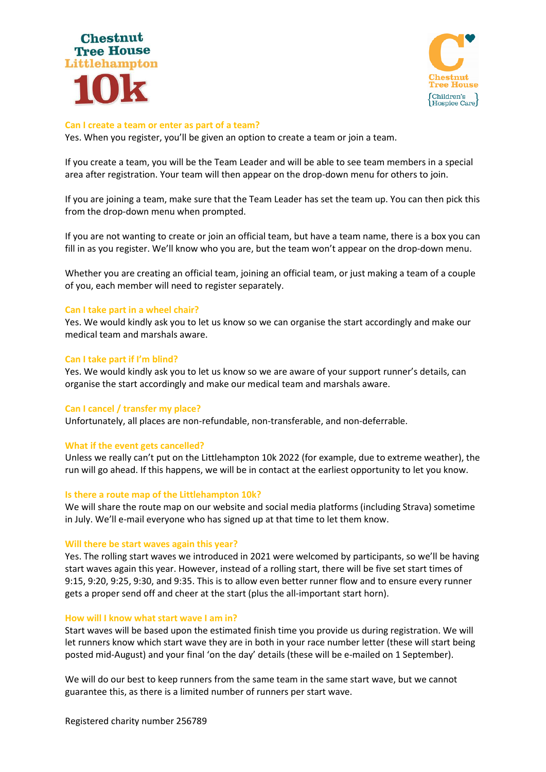



#### **Can I create a team or enter as part of a team?**

Yes. When you register, you'll be given an option to create a team or join a team.

If you create a team, you will be the Team Leader and will be able to see team members in a special area after registration. Your team will then appear on the drop-down menu for others to join.

If you are joining a team, make sure that the Team Leader has set the team up. You can then pick this from the drop-down menu when prompted.

If you are not wanting to create or join an official team, but have a team name, there is a box you can fill in as you register. We'll know who you are, but the team won't appear on the drop-down menu.

Whether you are creating an official team, joining an official team, or just making a team of a couple of you, each member will need to register separately.

#### **Can I take part in a wheel chair?**

Yes. We would kindly ask you to let us know so we can organise the start accordingly and make our medical team and marshals aware.

#### **Can I take part if I'm blind?**

Yes. We would kindly ask you to let us know so we are aware of your support runner's details, can organise the start accordingly and make our medical team and marshals aware.

#### **Can I cancel / transfer my place?**

Unfortunately, all places are non-refundable, non-transferable, and non-deferrable.

#### **What if the event gets cancelled?**

Unless we really can't put on the Littlehampton 10k 2022 (for example, due to extreme weather), the run will go ahead. If this happens, we will be in contact at the earliest opportunity to let you know.

#### **Is there a route map of the Littlehampton 10k?**

We will share the route map on our website and social media platforms (including Strava) sometime in July. We'll e-mail everyone who has signed up at that time to let them know.

#### **Will there be start waves again this year?**

Yes. The rolling start waves we introduced in 2021 were welcomed by participants, so we'll be having start waves again this year. However, instead of a rolling start, there will be five set start times of 9:15, 9:20, 9:25, 9:30, and 9:35. This is to allow even better runner flow and to ensure every runner gets a proper send off and cheer at the start (plus the all-important start horn).

#### **How will I know what start wave I am in?**

Start waves will be based upon the estimated finish time you provide us during registration. We will let runners know which start wave they are in both in your race number letter (these will start being posted mid-August) and your final 'on the day' details (these will be e-mailed on 1 September).

We will do our best to keep runners from the same team in the same start wave, but we cannot guarantee this, as there is a limited number of runners per start wave.

Registered charity number 256789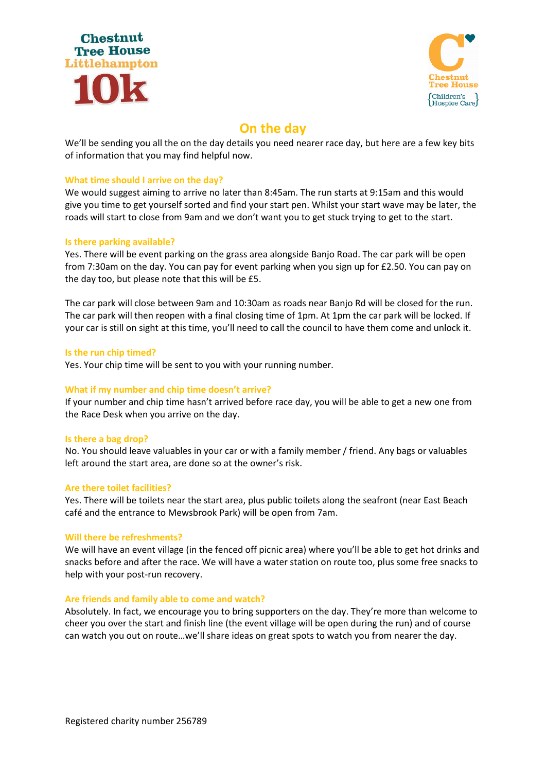



# **On the day**

We'll be sending you all the on the day details you need nearer race day, but here are a few key bits of information that you may find helpful now.

# **What time should I arrive on the day?**

We would suggest aiming to arrive no later than 8:45am. The run starts at 9:15am and this would give you time to get yourself sorted and find your start pen. Whilst your start wave may be later, the roads will start to close from 9am and we don't want you to get stuck trying to get to the start.

# **Is there parking available?**

Yes. There will be event parking on the grass area alongside Banjo Road. The car park will be open from 7:30am on the day. You can pay for event parking when you sign up for £2.50. You can pay on the day too, but please note that this will be £5.

The car park will close between 9am and 10:30am as roads near Banjo Rd will be closed for the run. The car park will then reopen with a final closing time of 1pm. At 1pm the car park will be locked. If your car is still on sight at this time, you'll need to call the council to have them come and unlock it.

# **Is the run chip timed?**

Yes. Your chip time will be sent to you with your running number.

# **What if my number and chip time doesn't arrive?**

If your number and chip time hasn't arrived before race day, you will be able to get a new one from the Race Desk when you arrive on the day.

# **Is there a bag drop?**

No. You should leave valuables in your car or with a family member / friend. Any bags or valuables left around the start area, are done so at the owner's risk.

# **Are there toilet facilities?**

Yes. There will be toilets near the start area, plus public toilets along the seafront (near East Beach café and the entrance to Mewsbrook Park) will be open from 7am.

# **Will there be refreshments?**

We will have an event village (in the fenced off picnic area) where you'll be able to get hot drinks and snacks before and after the race. We will have a water station on route too, plus some free snacks to help with your post-run recovery.

# **Are friends and family able to come and watch?**

Absolutely. In fact, we encourage you to bring supporters on the day. They're more than welcome to cheer you over the start and finish line (the event village will be open during the run) and of course can watch you out on route…we'll share ideas on great spots to watch you from nearer the day.